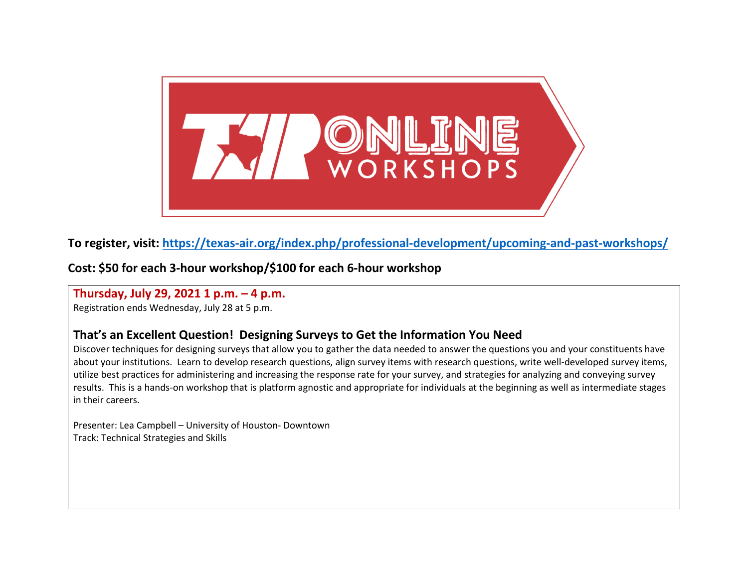

# **To register, visit:<https://texas-air.org/index.php/professional-development/upcoming-and-past-workshops/>**

## **Cost: \$50 for each 3-hour workshop/\$100 for each 6-hour workshop**

### **Thursday, July 29, 2021 1 p.m. – 4 p.m.**

Registration ends Wednesday, July 28 at 5 p.m.

## **That's an Excellent Question! Designing Surveys to Get the Information You Need**

Discover techniques for designing surveys that allow you to gather the data needed to answer the questions you and your constituents have about your institutions. Learn to develop research questions, align survey items with research questions, write well-developed survey items, utilize best practices for administering and increasing the response rate for your survey, and strategies for analyzing and conveying survey results. This is a hands-on workshop that is platform agnostic and appropriate for individuals at the beginning as well as intermediate stages in their careers.

Presenter: Lea Campbell – University of Houston- Downtown Track: Technical Strategies and Skills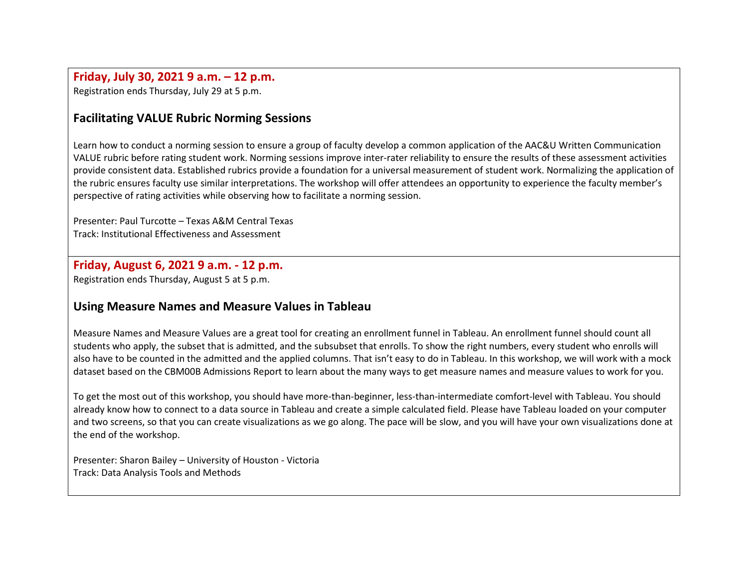#### **Friday, July 30, 2021 9 a.m. – 12 p.m.**

Registration ends Thursday, July 29 at 5 p.m.

## **Facilitating VALUE Rubric Norming Sessions**

Learn how to conduct a norming session to ensure a group of faculty develop a common application of the AAC&U Written Communication VALUE rubric before rating student work. Norming sessions improve inter-rater reliability to ensure the results of these assessment activities provide consistent data. Established rubrics provide a foundation for a universal measurement of student work. Normalizing the application of the rubric ensures faculty use similar interpretations. The workshop will offer attendees an opportunity to experience the faculty member's perspective of rating activities while observing how to facilitate a norming session.

Presenter: Paul Turcotte – Texas A&M Central Texas Track: Institutional Effectiveness and Assessment

### **Friday, August 6, 2021 9 a.m. - 12 p.m.**

Registration ends Thursday, August 5 at 5 p.m.

### **Using Measure Names and Measure Values in Tableau**

Measure Names and Measure Values are a great tool for creating an enrollment funnel in Tableau. An enrollment funnel should count all students who apply, the subset that is admitted, and the subsubset that enrolls. To show the right numbers, every student who enrolls will also have to be counted in the admitted and the applied columns. That isn't easy to do in Tableau. In this workshop, we will work with a mock dataset based on the CBM00B Admissions Report to learn about the many ways to get measure names and measure values to work for you.

To get the most out of this workshop, you should have more-than-beginner, less-than-intermediate comfort-level with Tableau. You should already know how to connect to a data source in Tableau and create a simple calculated field. Please have Tableau loaded on your computer and two screens, so that you can create visualizations as we go along. The pace will be slow, and you will have your own visualizations done at the end of the workshop.

Presenter: Sharon Bailey – University of Houston - Victoria Track: Data Analysis Tools and Methods